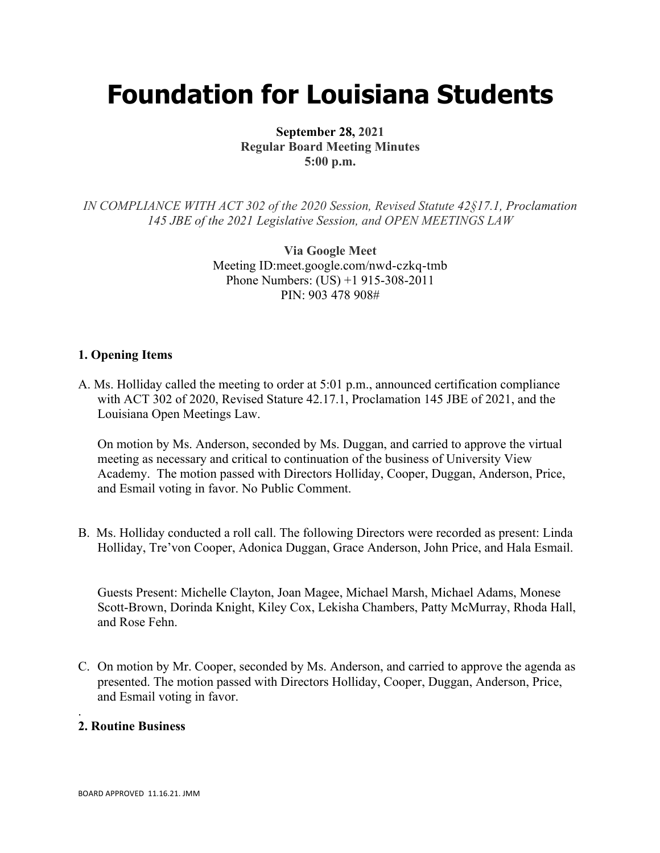# **Foundation for Louisiana Students**

**September 28, 2021 Regular Board Meeting Minutes 5:00 p.m.**

*IN COMPLIANCE WITH ACT 302 of the 2020 Session, Revised Statute 42§17.1, Proclamation 145 JBE of the 2021 Legislative Session, and OPEN MEETINGS LAW*

> **Via Google Meet**  Meeting ID:meet.google.com/nwd-czkq-tmb Phone Numbers: (US) +1 915-308-2011 PIN: 903 478 908#

#### **1. Opening Items**

A. Ms. Holliday called the meeting to order at 5:01 p.m., announced certification compliance with ACT 302 of 2020, Revised Stature 42.17.1, Proclamation 145 JBE of 2021, and the Louisiana Open Meetings Law.

On motion by Ms. Anderson, seconded by Ms. Duggan, and carried to approve the virtual meeting as necessary and critical to continuation of the business of University View Academy. The motion passed with Directors Holliday, Cooper, Duggan, Anderson, Price, and Esmail voting in favor. No Public Comment.

B. Ms. Holliday conducted a roll call. The following Directors were recorded as present: Linda Holliday, Tre'von Cooper, Adonica Duggan, Grace Anderson, John Price, and Hala Esmail.

Guests Present: Michelle Clayton, Joan Magee, Michael Marsh, Michael Adams, Monese Scott-Brown, Dorinda Knight, Kiley Cox, Lekisha Chambers, Patty McMurray, Rhoda Hall, and Rose Fehn.

C. On motion by Mr. Cooper, seconded by Ms. Anderson, and carried to approve the agenda as presented. The motion passed with Directors Holliday, Cooper, Duggan, Anderson, Price, and Esmail voting in favor.

#### **2. Routine Business**

.